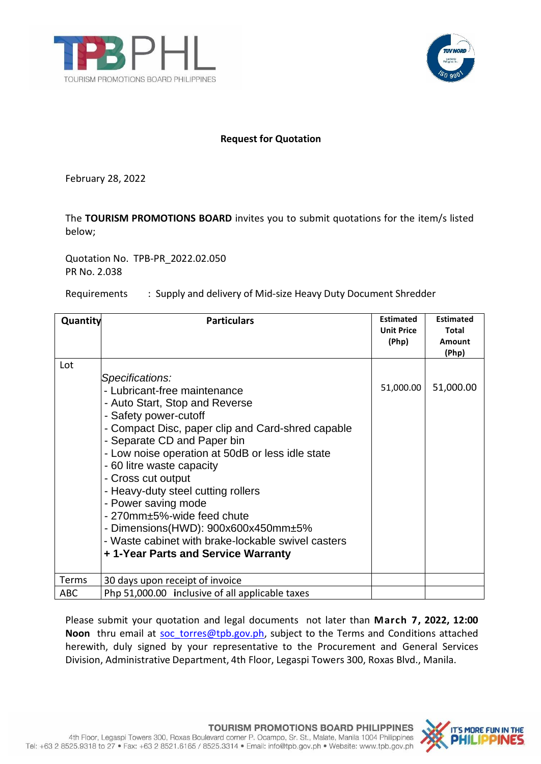



## **Request for Quotation**

February 28, 2022

The **TOURISM PROMOTIONS BOARD** invites you to submit quotations for the item/s listed below;

Quotation No. TPB-PR\_2022.02.050 PR No. 2.038

Requirements : Supply and delivery of Mid-size Heavy Duty Document Shredder

| Quantity   | <b>Particulars</b>                                                                                                                                                                                                                                                                                                                                                                                                                                                                                                                  | <b>Estimated</b><br><b>Unit Price</b><br>(Php) | <b>Estimated</b><br>Total<br>Amount<br>(Php) |
|------------|-------------------------------------------------------------------------------------------------------------------------------------------------------------------------------------------------------------------------------------------------------------------------------------------------------------------------------------------------------------------------------------------------------------------------------------------------------------------------------------------------------------------------------------|------------------------------------------------|----------------------------------------------|
| Lot        | Specifications:<br>- Lubricant-free maintenance<br>- Auto Start, Stop and Reverse<br>- Safety power-cutoff<br>- Compact Disc, paper clip and Card-shred capable<br>- Separate CD and Paper bin<br>- Low noise operation at 50dB or less idle state<br>- 60 litre waste capacity<br>- Cross cut output<br>- Heavy-duty steel cutting rollers<br>- Power saving mode<br>- 270mm±5%-wide feed chute<br>- Dimensions(HWD): 900x600x450mm±5%<br>- Waste cabinet with brake-lockable swivel casters<br>+1-Year Parts and Service Warranty | 51,000.00                                      | 51,000.00                                    |
| Terms      | 30 days upon receipt of invoice                                                                                                                                                                                                                                                                                                                                                                                                                                                                                                     |                                                |                                              |
| <b>ABC</b> | Php 51,000.00 inclusive of all applicable taxes                                                                                                                                                                                                                                                                                                                                                                                                                                                                                     |                                                |                                              |

Please submit your quotation and legal documents not later than **March 7, 2022, 12:00** Noon thru email at soc torres@tpb.gov.ph, subject to the Terms and Conditions attached herewith, duly signed by your representative to the Procurement and General Services Division, Administrative Department, 4th Floor, Legaspi Towers 300, Roxas Blvd., Manila.